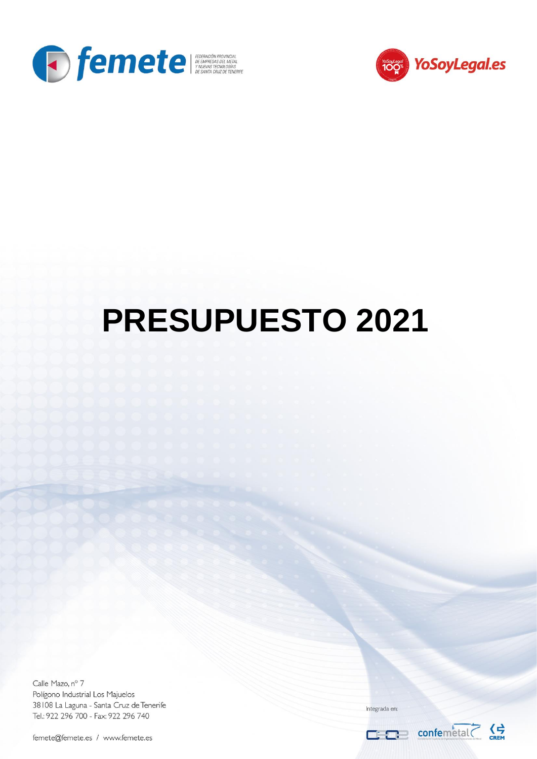



## **PRESUPUESTO 2021**

Calle Mazo, nº 7 Polígono Industrial Los Majuelos 38108 La Laguna - Santa Cruz de Tenerife Tel.: 922 296 700 - Fax: 922 296 740

femete@femete.es / www.femete.es

Integrada en: